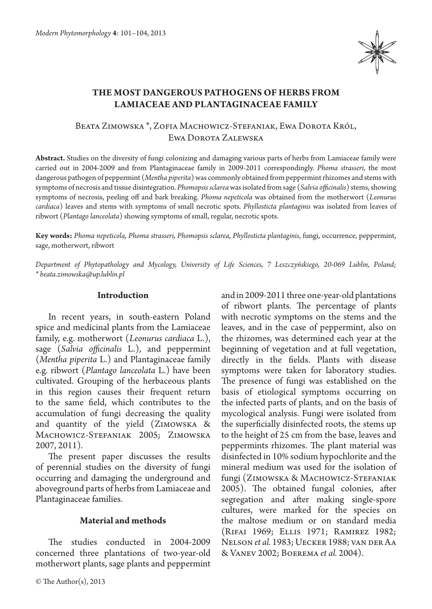

# **The most dangerous pathogens of herbs from Lamiaceae and Plantaginaceae family**

## Beata Zimowska \*, Zofia Machowicz-Stefaniak, Ewa Dorota Król, Ewa Dorota Zalewska

**Abstract.** Studies on the diversity of fungi colonizing and damaging various parts of herbs from Lamiaceae family were carried out in 2004-2009 and from Plantaginaceae family in 2009-2011 correspondingly. *Phoma strasseri*, the most dangerous pathogen of peppermint (*Mentha piperita*) was commonly obtained from peppermint rhizomes and stems with symptoms of necrosis and tissue disintegration. *Phomopsis sclarea* was isolated from sage (*Salvia officinalis*) stems, showing symptoms of necrosis, peeling off and bark breaking. *Phoma nepeticola* was obtained from the motherwort (*Leonurus cardiaca*) leaves and stems with symptoms of small necrotic spots. *Phyllosticta plantaginis* was isolated from leaves of ribwort (*Plantago lanceolata*) showing symptoms of small, regular, necrotic spots.

**Key words:** *Phoma nepeticola, Phoma strasseri, Phomopsis sclarea, Phyllosticta plantaginis*, fungi, occurrence, peppermint, sage, motherwort, ribwort

*Department of Phytopathology and Mycology, University of Life Sciences, 7 Leszczyńskiego, 20-069 Lublin, Poland; \* beata.zimowska@up.lublin.pl*

#### **Introduction**

In recent years, in south-eastern Poland spice and medicinal plants from the Lamiaceae family, e.g. motherwort (*Leonurus cardiaca* L.), sage (*Salvia officinalis* L.), and peppermint (*Mentha piperita* L.) and Plantaginaceae family e.g. ribwort (*Plantago lanceolata* L.) have been cultivated. Grouping of the herbaceous plants in this region causes their frequent return to the same field, which contributes to the accumulation of fungi decreasing the quality and quantity of the yield (Zimowska & Machowicz-Stefaniak 2005; Zimowska 2007, 2011).

The present paper discusses the results of perennial studies on the diversity of fungi occurring and damaging the underground and aboveground parts of herbs from Lamiaceae and Plantaginaceae families.

### **Material and methods**

The studies conducted in 2004-2009 concerned three plantations of two-year-old motherwort plants, sage plants and peppermint

and in 2009-2011 three one-year-old plantations of ribwort plants. The percentage of plants with necrotic symptoms on the stems and the leaves, and in the case of peppermint, also on the rhizomes, was determined each year at the beginning of vegetation and at full vegetation, directly in the fields. Plants with disease symptoms were taken for laboratory studies. The presence of fungi was established on the basis of etiological symptoms occurring on the infected parts of plants, and on the basis of mycological analysis. Fungi were isolated from the superficially disinfected roots, the stems up to the height of 25 cm from the base, leaves and peppermints rhizomes. The plant material was disinfected in 10% sodium hypochlorite and the mineral medium was used for the isolation of fungi (Zimowska & Machowicz-Stefaniak 2005). The obtained fungal colonies, after segregation and after making single-spore cultures, were marked for the species on the maltose medium or on standard media (Rifai 1969; Ellis 1971; Ramirez 1982; Nelson *et al.* 1983; Uecker 1988; van der Aa & Vanev 2002; Boerema *et al.* 2004).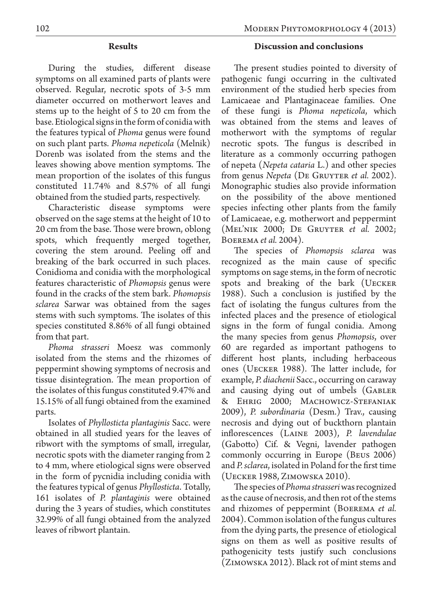### **Results**

During the studies, different disease symptoms on all examined parts of plants were observed. Regular, necrotic spots of 3-5 mm diameter occurred on motherwort leaves and stems up to the height of 5 to 20 cm from the base. Etiological signs in the form of conidia with the features typical of *Phoma* genus were found on such plant parts. *Phoma nepeticola* (Melnik) Dorenb was isolated from the stems and the leaves showing above mention symptoms. The mean proportion of the isolates of this fungus constituted 11.74% and 8.57% of all fungi obtained from the studied parts, respectively.

Characteristic disease symptoms were observed on the sage stems at the height of 10 to 20 cm from the base. Those were brown, oblong spots, which frequently merged together, covering the stem around. Peeling off and breaking of the bark occurred in such places. Conidioma and conidia with the morphological features characteristic of *Phomopsis* genus were found in the cracks of the stem bark. *Phomopsis sclarea* Sarwar was obtained from the sages stems with such symptoms. The isolates of this species constituted 8.86% of all fungi obtained from that part.

*Phoma strasseri* Moesz was commonly isolated from the stems and the rhizomes of peppermint showing symptoms of necrosis and tissue disintegration. The mean proportion of the isolates of this fungus constituted 9.47% and 15.15% of all fungi obtained from the examined parts.

Isolates of *Phyllosticta plantaginis* Sacc. were obtained in all studied years for the leaves of ribwort with the symptoms of small, irregular, necrotic spots with the diameter ranging from 2 to 4 mm, where etiological signs were observed in the form of pycnidia including conidia with the features typical of genus *Phyllosticta*. Totally, 161 isolates of *P. plantaginis* were obtained during the 3 years of studies, which constitutes 32.99% of all fungi obtained from the analyzed leaves of ribwort plantain.

### **Discussion and conclusions**

The present studies pointed to diversity of pathogenic fungi occurring in the cultivated environment of the studied herb species from Lamicaeae and Plantaginaceae families. One of these fungi is *Phoma nepeticola*, which was obtained from the stems and leaves of motherwort with the symptoms of regular necrotic spots. The fungus is described in literature as a commonly occurring pathogen of nepeta (*Nepeta cataria* L.) and other species from genus *Nepeta* (De Gruyter *et al.* 2002). Monographic studies also provide information on the possibility of the above mentioned species infecting other plants from the family of Lamicaeae, e.g. motherwort and peppermint (Mel'nik 2000; De Gruyter *et al.* 2002; Boerema *et al.* 2004).

The species of *Phomopsis sclarea* was recognized as the main cause of specific symptoms on sage stems, in the form of necrotic spots and breaking of the bark (UECKER 1988). Such a conclusion is justified by the fact of isolating the fungus cultures from the infected places and the presence of etiological signs in the form of fungal conidia. Among the many species from genus *Phomopsis*, over 60 are regarded as important pathogens to different host plants, including herbaceous ones (Uecker 1988). The latter include, for example, *P. diachenii* Sacc., occurring on caraway and causing dying out of umbels (Gabler & Ehrig 2000; Machowicz-Stefaniak 2009), *P. subordinaria* (Desm.) Trav., causing necrosis and dying out of buckthorn plantain inflorescences (Laine 2003), *P. lavendulae*  (Gabotto) Cif. & Vegni, lavender pathogen commonly occurring in Europe (Beus 2006) and *P. sclarea*, isolated in Poland for the first time (Uecker 1988, Zimowska 2010).

The species of *Phoma strasseri* was recognized as the cause of necrosis, and then rot of the stems and rhizomes of peppermint (Boerema *et al.* 2004). Common isolation of the fungus cultures from the dying parts, the presence of etiological signs on them as well as positive results of pathogenicity tests justify such conclusions (Zimowska 2012). Black rot of mint stems and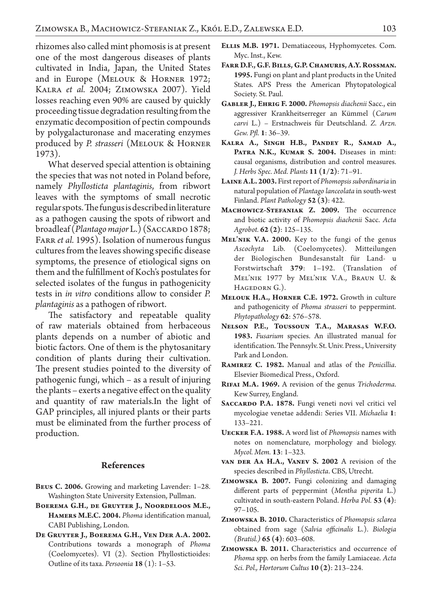rhizomes also called mint phomosis is at present one of the most dangerous diseases of plants cultivated in India, Japan, the United States and in Europe (Melouk & Horner 1972; Kalra *et al.* 2004; Zimowska 2007). Yield losses reaching even 90% are caused by quickly proceeding tissue degradation resulting from the enzymatic decomposition of pectin compounds by polygalacturonase and macerating enzymes produced by *P. strasseri* (Melouk & Horner 1973).

What deserved special attention is obtaining the species that was not noted in Poland before, namely *Phyllosticta plantaginis*, from ribwort leaves with the symptoms of small necrotic regular spots. The fungus is described in literature as a pathogen causing the spots of ribwort and broadleaf (*Plantago major L.*) (SACCARDO 1878; FARR *et al.* 1995). Isolation of numerous fungus cultures from the leaves showing specific disease symptoms, the presence of etiological signs on them and the fulfillment of Koch's postulates for selected isolates of the fungus in pathogenicity tests in *in vitro* conditions allow to consider *P. plantaginis* as a pathogen of ribwort.

The satisfactory and repeatable quality of raw materials obtained from herbaceous plants depends on a number of abiotic and biotic factors. One of them is the phytosanitary condition of plants during their cultivation. The present studies pointed to the diversity of pathogenic fungi, which – as a result of injuring the plants – exerts a negative effect on the quality and quantity of raw materials.In the light of GAP principles, all injured plants or their parts must be eliminated from the further process of production.

#### **References**

- **Beus C. 2006.** Growing and marketing Lavender: 1–28. Washington State University Extension, Pullman.
- **Boerema G.H., de Gruyter J., Noordeloos M.E., Hamers M.E.C. 2004.** *Phoma* identification manual, CABI Publishing, London.
- **De Gruyter J., Boerema G.H., Ven Der A.A. 2002.**  Contributions towards a monograph of *Phoma*  (Coelomycetes). VI (2). Section Phyllostictioides: Outline of its taxa. *Persoonia* **18** (1): 1–53.
- **Ellis M.B. 1971.** Dematiaceous, Hyphomycetes. Com. Myc. Inst., Kew.
- **Farr D.F., G.F. Bills, G.P. Chamuris, A.Y. Rossman. 1995.** Fungi on plant and plant products in the United States. APS Press the American Phytopatological Society. St. Paul.
- **Gabler J., Ehrig F. 2000.** *Phomopsis diachenii* Sacc., ein aggressiver Krankheitserreger an Kümmel (*Carum carvi* L.) – Erstnachweis für Deutschland. *Z. Arzn. Gew. Pfl.* **1**: 36–39.
- **Kalra A., Singh H.B., Pandey R., Samad A., Patra N.K., Kumar S. 2004.** Diseases in mint: causal organisms, distribution and control measures. *J. Herbs Spec. Med. Plants* **11 (1/2)**: 71–91.
- **Laine A.L. 2003.** First report of *Phomopsis subordinaria* in natural population of *Plantago lanceolata* in south-west Finland. *Plant Pathology* **52 (3)**: 422.
- **Machowicz-Stefaniak Z. 2009.** The occurrence and biotic activity of *Phomopsis diachenii* Sacc. *Acta Agrobot.* **62 (2)**: 125–135.
- **Mel'nik V.A. 2000.** Key to the fungi of the genus *Ascochyta*  Lib. (Coelomycetes). Mitteilungen der Biologischen Bundesanstalt für Land- u Forstwirtschaft **379**: 1–192. (Translation of Mel'nik 1977 by Mel'nik V.A., Braun U. & HAGEDORN G.).
- **Melouk H.A., Horner C.E. 1972.** Growth in culture and pathogenicity of *Phoma strasseri* to peppermint. *Phytopathology* **62**: 576–578.
- **Nelson P.E., Toussoun T.A., Marasas W.F.O. 1983.** *Fusarium* species. An illustrated manual for identification. The Pennsylv. St. Univ. Press., University Park and London.
- **Ramirez C. 1982.** Manual and atlas of the *Penicillia*. Elsevier Biomedical Press., Oxford.
- **Rifai M.A. 1969.** A revision of the genus *Trichoderma*. Kew Surrey, England.
- **Saccardo P.A. 1878.** Fungi veneti novi vel critici vel mycologiae venetae addendi: Series VII. *Michaelia* **1**: 133–221.
- **Uecker F.A. 1988.** A word list of *Phomopsis* names with notes on nomenclature, morphology and biology. *Mycol. Mem.* **13**: 1–323.
- **van der Aa H.A., Vanev S. 2002** A revision of the species described in *Phyllosticta*. CBS, Utrecht.
- **Zimowska B. 2007.** Fungi colonizing and damaging different parts of peppermint (*Mentha piperita* L.) cultivated in south-eastern Poland. *Herba Pol.* **53 (4)**: 97–105.
- **Zimowska B. 2010.** Characteristics of *Phomopsis sclarea*  obtained from sage (*Salvia officinalis* L.). *Biologia (Bratisl.)* **65 (4)**: 603–608.
- **Zimowska B. 2011.** Characteristics and occurrence of *Phoma* spp. on herbs from the family Lamiaceae. *Acta Sci. Pol., Hortorum Cultus* **10 (2)**: 213–224.